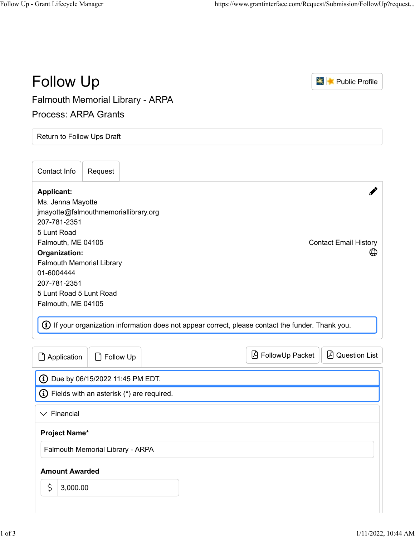| <b>Follow Up</b>                                                                                                                                                                                                                                                                                                                                                                       | <b>X</b> Public Profile            |
|----------------------------------------------------------------------------------------------------------------------------------------------------------------------------------------------------------------------------------------------------------------------------------------------------------------------------------------------------------------------------------------|------------------------------------|
| <b>Falmouth Memorial Library - ARPA</b>                                                                                                                                                                                                                                                                                                                                                |                                    |
| <b>Process: ARPA Grants</b>                                                                                                                                                                                                                                                                                                                                                            |                                    |
| Return to Follow Ups Draft                                                                                                                                                                                                                                                                                                                                                             |                                    |
| Contact Info<br>Request                                                                                                                                                                                                                                                                                                                                                                |                                    |
| <b>Applicant:</b><br>Ms. Jenna Mayotte<br>jmayotte@falmouthmemoriallibrary.org<br>207-781-2351<br>5 Lunt Road<br>Falmouth, ME 04105<br>Organization:<br><b>Falmouth Memorial Library</b><br>01-6004444<br>207-781-2351<br>5 Lunt Road 5 Lunt Road<br>Falmouth, ME 04105<br>$\bigoplus$ If your organization information does not appear correct, please contact the funder. Thank you. | <b>Contact Email History</b><br>⊕  |
| Application<br>Follow Up<br>۱٦                                                                                                                                                                                                                                                                                                                                                         | FollowUp Packet<br>A Question List |
| <b>(i)</b> Due by 06/15/2022 11:45 PM EDT.                                                                                                                                                                                                                                                                                                                                             |                                    |
| $\bf G$ Fields with an asterisk (*) are required.                                                                                                                                                                                                                                                                                                                                      |                                    |
| $\vee$ Financial                                                                                                                                                                                                                                                                                                                                                                       |                                    |
| <b>Project Name*</b>                                                                                                                                                                                                                                                                                                                                                                   |                                    |
| Falmouth Memorial Library - ARPA                                                                                                                                                                                                                                                                                                                                                       |                                    |
| <b>Amount Awarded</b>                                                                                                                                                                                                                                                                                                                                                                  |                                    |
| $\mathsf{S}$<br>3,000.00                                                                                                                                                                                                                                                                                                                                                               |                                    |
|                                                                                                                                                                                                                                                                                                                                                                                        |                                    |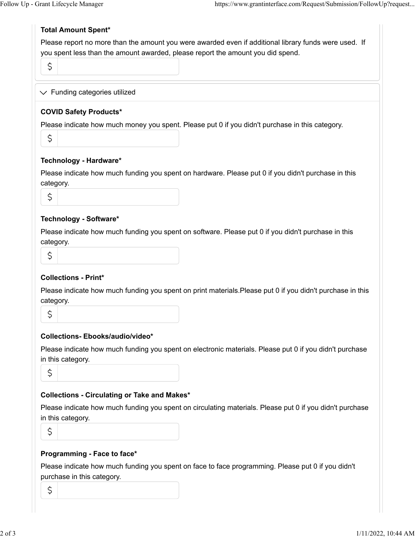## **Total Amount Spent\***

Please report no more than the amount you were awarded even if additional library funds were used. If you spent less than the amount awarded, please report the amount you did spend.

S

 $\vee$  Funding categories utilized

## **COVID Safety Products\***

Please indicate how much money you spent. Please put 0 if you didn't purchase in this category.

Ś

#### **Technology - Hardware\***

Please indicate how much funding you spent on hardware. Please put 0 if you didn't purchase in this category.

#### **Technology - Software\***

Please indicate how much funding you spent on software. Please put 0 if you didn't purchase in this category.

| $\frac{1}{2}$                 |  |
|-------------------------------|--|
| M.<br>×<br>×<br>$\frac{1}{2}$ |  |

# **Collections - Print\***

Please indicate how much funding you spent on print materials.Please put 0 if you didn't purchase in this category.

 $\mathsf{S}$ 

# **Collections- Ebooks/audio/video\***

Please indicate how much funding you spent on electronic materials. Please put 0 if you didn't purchase in this category.

Ś

# **Collections - Circulating or Take and Makes\***

Please indicate how much funding you spent on circulating materials. Please put 0 if you didn't purchase in this category.

\$

# **Programming - Face to face\***

Please indicate how much funding you spent on face to face programming. Please put 0 if you didn't purchase in this category.

 $\mathsf{S}$